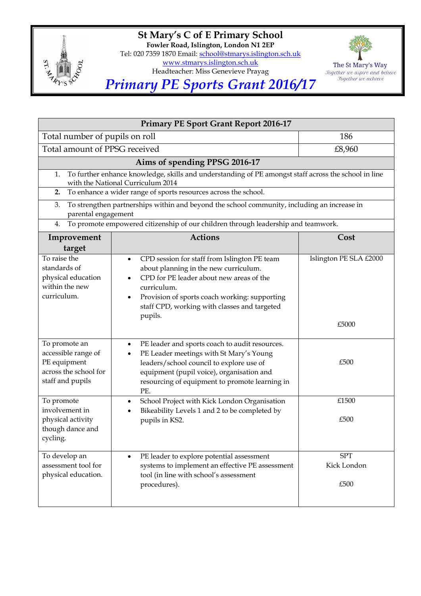

**St Mary's C of E Primary School Fowler Road, Islington, London N1 2EP** Tel: 020 7359 1870 Email: [school@stmarys.islington.sch.uk](mailto:school@stmarys.islington.sch.uk) [www.stmarys.islington.sch.uk](http://www.stmarys.islington.sch.uk/) Headteacher: Miss Genevieve Prayag



*Primary PE Sports Grant 2016/17*

| <b>Primary PE Sport Grant Report 2016-17</b>                                                                                                    |                                                                                                                                                                                                                                                                                          |                                   |  |
|-------------------------------------------------------------------------------------------------------------------------------------------------|------------------------------------------------------------------------------------------------------------------------------------------------------------------------------------------------------------------------------------------------------------------------------------------|-----------------------------------|--|
| Total number of pupils on roll                                                                                                                  |                                                                                                                                                                                                                                                                                          | 186                               |  |
| Total amount of PPSG received                                                                                                                   |                                                                                                                                                                                                                                                                                          | £8,960                            |  |
| Aims of spending PPSG 2016-17                                                                                                                   |                                                                                                                                                                                                                                                                                          |                                   |  |
| To further enhance knowledge, skills and understanding of PE amongst staff across the school in line<br>1.<br>with the National Curriculum 2014 |                                                                                                                                                                                                                                                                                          |                                   |  |
| To enhance a wider range of sports resources across the school.<br>2.                                                                           |                                                                                                                                                                                                                                                                                          |                                   |  |
| To strengthen partnerships within and beyond the school community, including an increase in<br>3.<br>parental engagement                        |                                                                                                                                                                                                                                                                                          |                                   |  |
| To promote empowered citizenship of our children through leadership and teamwork.<br>4.                                                         |                                                                                                                                                                                                                                                                                          |                                   |  |
| Improvement<br>target                                                                                                                           | <b>Actions</b>                                                                                                                                                                                                                                                                           | Cost                              |  |
| To raise the<br>standards of<br>physical education<br>within the new<br>curriculum.                                                             | CPD session for staff from Islington PE team<br>$\bullet$<br>about planning in the new curriculum.<br>CPD for PE leader about new areas of the<br>$\bullet$<br>curriculum.<br>Provision of sports coach working: supporting<br>$\bullet$<br>staff CPD, working with classes and targeted | Islington PE SLA £2000            |  |
|                                                                                                                                                 | pupils.                                                                                                                                                                                                                                                                                  | £5000                             |  |
| To promote an<br>accessible range of<br>PE equipment<br>across the school for<br>staff and pupils                                               | PE leader and sports coach to audit resources.<br>$\bullet$<br>PE Leader meetings with St Mary's Young<br>$\bullet$<br>leaders/school council to explore use of<br>equipment (pupil voice), organisation and<br>resourcing of equipment to promote learning in<br>PE.                    | £500                              |  |
| To promote<br>involvement in<br>physical activity<br>though dance and<br>cycling.                                                               | School Project with Kick London Organisation<br>$\bullet$<br>Bikeability Levels 1 and 2 to be completed by<br>$\bullet$<br>pupils in KS2.                                                                                                                                                | £1500<br>£500                     |  |
| To develop an<br>assessment tool for<br>physical education.                                                                                     | PE leader to explore potential assessment<br>$\bullet$<br>systems to implement an effective PE assessment<br>tool (in line with school's assessment<br>procedures).                                                                                                                      | <b>SPT</b><br>Kick London<br>£500 |  |